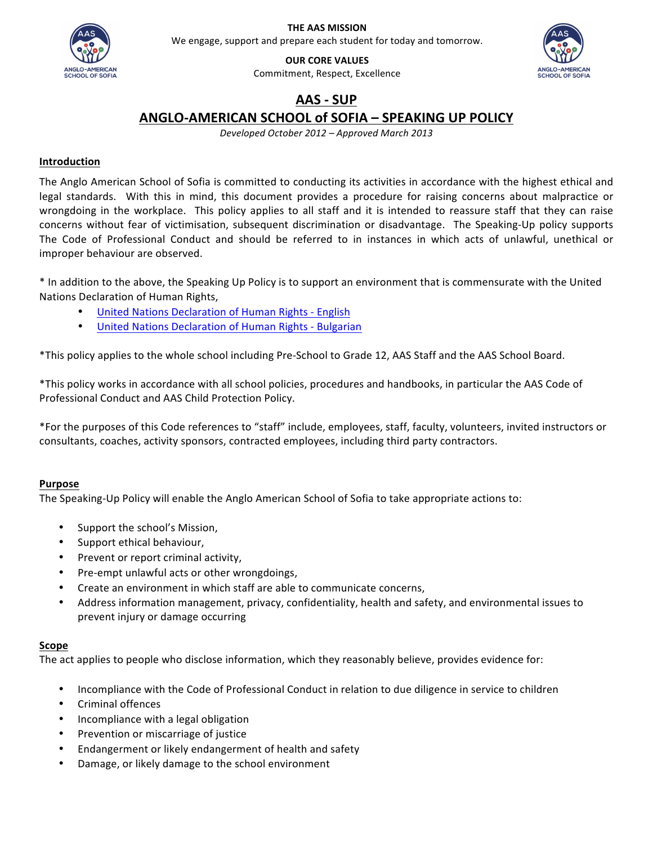

**THE AAS MISSION** We engage, support and prepare each student for today and tomorrow.

**OUR CORE VALUES** Commitment, Respect, Excellence

# **AAS - SUP**

# **ANGLO-AMERICAN SCHOOL of SOFIA – SPEAKING UP POLICY**

*Developed October 2012 – Approved March 2013*

# **Introduction**

The Anglo American School of Sofia is committed to conducting its activities in accordance with the highest ethical and legal standards. With this in mind, this document provides a procedure for raising concerns about malpractice or wrongdoing in the workplace. This policy applies to all staff and it is intended to reassure staff that they can raise concerns without fear of victimisation, subsequent discrimination or disadvantage. The Speaking-Up policy supports The Code of Professional Conduct and should be referred to in instances in which acts of unlawful, unethical or improper behaviour are observed.

\* In addition to the above, the Speaking Up Policy is to support an environment that is commensurate with the United Nations Declaration of Human Rights,

- United Nations Declaration of Human Rights English
- United Nations Declaration of Human Rights Bulgarian

\*This policy applies to the whole school including Pre-School to Grade 12, AAS Staff and the AAS School Board.

\*This policy works in accordance with all school policies, procedures and handbooks, in particular the AAS Code of Professional Conduct and AAS Child Protection Policy.

\*For the purposes of this Code references to "staff" include, employees, staff, faculty, volunteers, invited instructors or consultants, coaches, activity sponsors, contracted employees, including third party contractors.

# **Purpose**

The Speaking-Up Policy will enable the Anglo American School of Sofia to take appropriate actions to:

- Support the school's Mission,
- Support ethical behaviour,
- Prevent or report criminal activity,
- Pre-empt unlawful acts or other wrongdoings,
- Create an environment in which staff are able to communicate concerns,
- Address information management, privacy, confidentiality, health and safety, and environmental issues to prevent injury or damage occurring

# **Scope**

The act applies to people who disclose information, which they reasonably believe, provides evidence for:

- Incompliance with the Code of Professional Conduct in relation to due diligence in service to children
- Criminal offences
- Incompliance with a legal obligation
- Prevention or miscarriage of justice
- Endangerment or likely endangerment of health and safety
- Damage, or likely damage to the school environment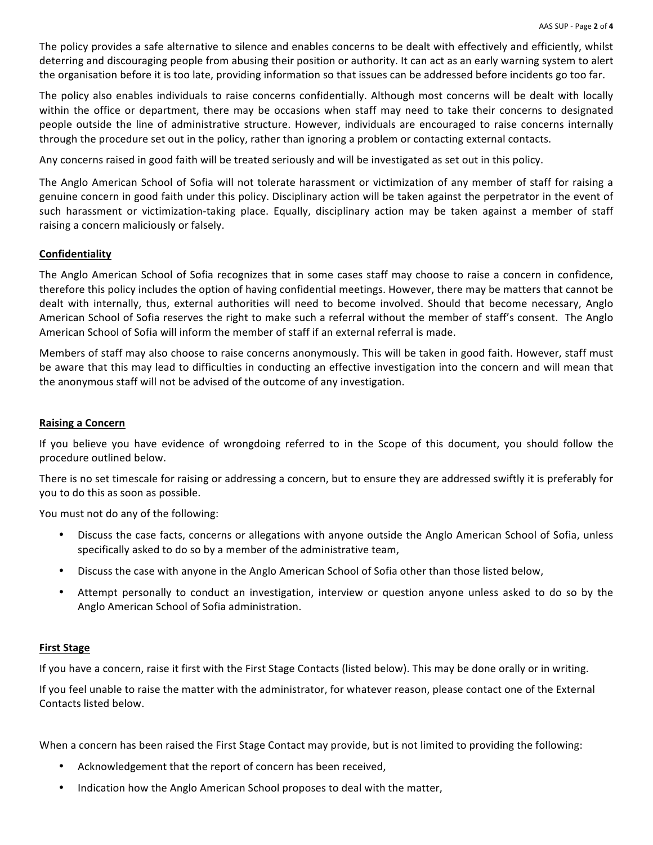The policy provides a safe alternative to silence and enables concerns to be dealt with effectively and efficiently, whilst deterring and discouraging people from abusing their position or authority. It can act as an early warning system to alert the organisation before it is too late, providing information so that issues can be addressed before incidents go too far.

The policy also enables individuals to raise concerns confidentially. Although most concerns will be dealt with locally within the office or department, there may be occasions when staff may need to take their concerns to designated people outside the line of administrative structure. However, individuals are encouraged to raise concerns internally through the procedure set out in the policy, rather than ignoring a problem or contacting external contacts.

Any concerns raised in good faith will be treated seriously and will be investigated as set out in this policy.

The Anglo American School of Sofia will not tolerate harassment or victimization of any member of staff for raising a genuine concern in good faith under this policy. Disciplinary action will be taken against the perpetrator in the event of such harassment or victimization-taking place. Equally, disciplinary action may be taken against a member of staff raising a concern maliciously or falsely.

#### **Confidentiality**

The Anglo American School of Sofia recognizes that in some cases staff may choose to raise a concern in confidence, therefore this policy includes the option of having confidential meetings. However, there may be matters that cannot be dealt with internally, thus, external authorities will need to become involved. Should that become necessary, Anglo American School of Sofia reserves the right to make such a referral without the member of staff's consent. The Anglo American School of Sofia will inform the member of staff if an external referral is made.

Members of staff may also choose to raise concerns anonymously. This will be taken in good faith. However, staff must be aware that this may lead to difficulties in conducting an effective investigation into the concern and will mean that the anonymous staff will not be advised of the outcome of any investigation.

#### **Raising a Concern**

If you believe you have evidence of wrongdoing referred to in the Scope of this document, you should follow the procedure outlined below.

There is no set timescale for raising or addressing a concern, but to ensure they are addressed swiftly it is preferably for you to do this as soon as possible.

You must not do any of the following:

- Discuss the case facts, concerns or allegations with anyone outside the Anglo American School of Sofia, unless specifically asked to do so by a member of the administrative team,
- Discuss the case with anyone in the Anglo American School of Sofia other than those listed below,
- Attempt personally to conduct an investigation, interview or question anyone unless asked to do so by the Anglo American School of Sofia administration.

#### **First Stage**

If you have a concern, raise it first with the First Stage Contacts (listed below). This may be done orally or in writing.

If you feel unable to raise the matter with the administrator, for whatever reason, please contact one of the External Contacts listed below.

When a concern has been raised the First Stage Contact may provide, but is not limited to providing the following:

- Acknowledgement that the report of concern has been received,
- Indication how the Anglo American School proposes to deal with the matter,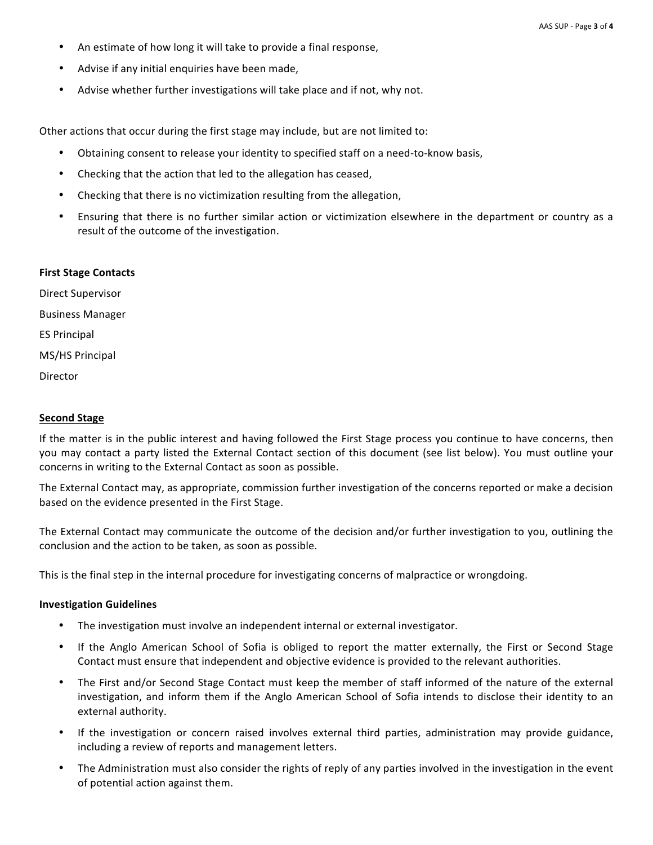- An estimate of how long it will take to provide a final response,
- Advise if any initial enquiries have been made,
- Advise whether further investigations will take place and if not, why not.

Other actions that occur during the first stage may include, but are not limited to:

- Obtaining consent to release your identity to specified staff on a need-to-know basis,
- Checking that the action that led to the allegation has ceased,
- Checking that there is no victimization resulting from the allegation,
- Ensuring that there is no further similar action or victimization elsewhere in the department or country as a result of the outcome of the investigation.

#### **First Stage Contacts**

Direct Supervisor Business Manager ES Principal MS/HS Principal Director

#### **Second Stage**

If the matter is in the public interest and having followed the First Stage process you continue to have concerns, then you may contact a party listed the External Contact section of this document (see list below). You must outline your concerns in writing to the External Contact as soon as possible.

The External Contact may, as appropriate, commission further investigation of the concerns reported or make a decision based on the evidence presented in the First Stage.

The External Contact may communicate the outcome of the decision and/or further investigation to you, outlining the conclusion and the action to be taken, as soon as possible.

This is the final step in the internal procedure for investigating concerns of malpractice or wrongdoing.

#### **Investigation Guidelines**

- The investigation must involve an independent internal or external investigator.
- If the Anglo American School of Sofia is obliged to report the matter externally, the First or Second Stage Contact must ensure that independent and objective evidence is provided to the relevant authorities.
- The First and/or Second Stage Contact must keep the member of staff informed of the nature of the external investigation, and inform them if the Anglo American School of Sofia intends to disclose their identity to an external authority.
- If the investigation or concern raised involves external third parties, administration may provide guidance, including a review of reports and management letters.
- The Administration must also consider the rights of reply of any parties involved in the investigation in the event of potential action against them.